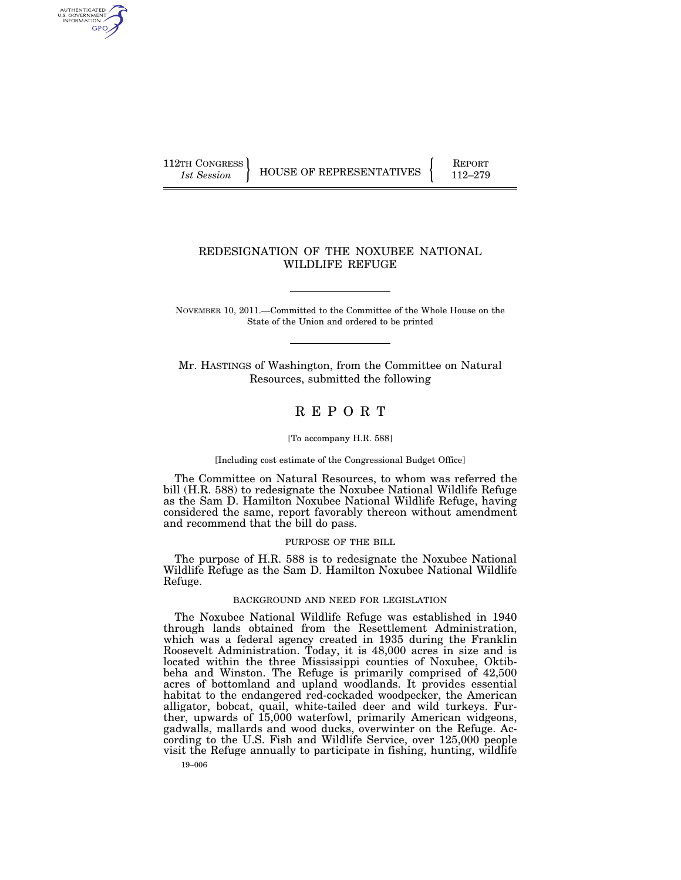AUTHENTICATED<br>U.S. GOVERNMENT<br>INFORMATION GPO

112TH CONGRESS HOUSE OF REPRESENTATIVES FEPORT 112–279

# REDESIGNATION OF THE NOXUBEE NATIONAL WILDLIFE REFUGE

NOVEMBER 10, 2011.—Committed to the Committee of the Whole House on the State of the Union and ordered to be printed

Mr. HASTINGS of Washington, from the Committee on Natural Resources, submitted the following

# R E P O R T

#### [To accompany H.R. 588]

[Including cost estimate of the Congressional Budget Office]

The Committee on Natural Resources, to whom was referred the bill (H.R. 588) to redesignate the Noxubee National Wildlife Refuge as the Sam D. Hamilton Noxubee National Wildlife Refuge, having considered the same, report favorably thereon without amendment and recommend that the bill do pass.

#### PURPOSE OF THE BILL

The purpose of H.R. 588 is to redesignate the Noxubee National Wildlife Refuge as the Sam D. Hamilton Noxubee National Wildlife Refuge.

#### BACKGROUND AND NEED FOR LEGISLATION

The Noxubee National Wildlife Refuge was established in 1940 through lands obtained from the Resettlement Administration, which was a federal agency created in 1935 during the Franklin Roosevelt Administration. Today, it is 48,000 acres in size and is located within the three Mississippi counties of Noxubee, Oktibbeha and Winston. The Refuge is primarily comprised of 42,500 acres of bottomland and upland woodlands. It provides essential habitat to the endangered red-cockaded woodpecker, the American alligator, bobcat, quail, white-tailed deer and wild turkeys. Further, upwards of 15,000 waterfowl, primarily American widgeons, gadwalls, mallards and wood ducks, overwinter on the Refuge. According to the U.S. Fish and Wildlife Service, over 125,000 people visit the Refuge annually to participate in fishing, hunting, wildlife

19–006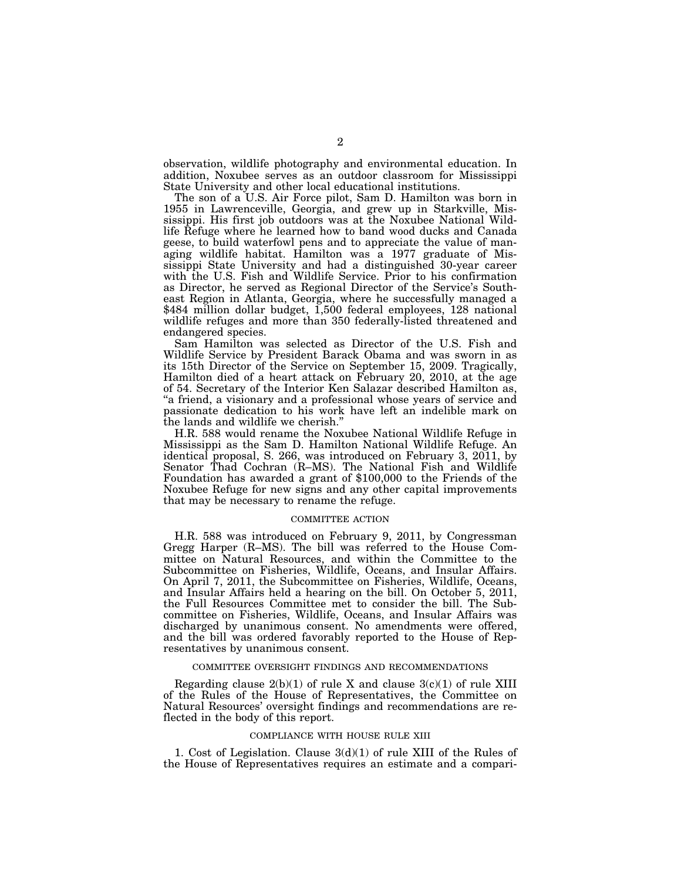observation, wildlife photography and environmental education. In addition, Noxubee serves as an outdoor classroom for Mississippi State University and other local educational institutions.

The son of a U.S. Air Force pilot, Sam D. Hamilton was born in 1955 in Lawrenceville, Georgia, and grew up in Starkville, Mississippi. His first job outdoors was at the Noxubee National Wildlife Refuge where he learned how to band wood ducks and Canada geese, to build waterfowl pens and to appreciate the value of managing wildlife habitat. Hamilton was a 1977 graduate of Mississippi State University and had a distinguished 30-year career with the U.S. Fish and Wildlife Service. Prior to his confirmation as Director, he served as Regional Director of the Service's Southeast Region in Atlanta, Georgia, where he successfully managed a \$484 million dollar budget, 1,500 federal employees, 128 national wildlife refuges and more than 350 federally-listed threatened and endangered species.

Sam Hamilton was selected as Director of the U.S. Fish and Wildlife Service by President Barack Obama and was sworn in as its 15th Director of the Service on September 15, 2009. Tragically, Hamilton died of a heart attack on February 20, 2010, at the age of 54. Secretary of the Interior Ken Salazar described Hamilton as, "a friend, a visionary and a professional whose years of service and passionate dedication to his work have left an indelible mark on the lands and wildlife we cherish.''

H.R. 588 would rename the Noxubee National Wildlife Refuge in Mississippi as the Sam D. Hamilton National Wildlife Refuge. An identical proposal, S. 266, was introduced on February 3, 2011, by Senator Thad Cochran (R-MS). The National Fish and Wildlife Foundation has awarded a grant of \$100,000 to the Friends of the Noxubee Refuge for new signs and any other capital improvements that may be necessary to rename the refuge.

#### COMMITTEE ACTION

H.R. 588 was introduced on February 9, 2011, by Congressman Gregg Harper (R–MS). The bill was referred to the House Committee on Natural Resources, and within the Committee to the Subcommittee on Fisheries, Wildlife, Oceans, and Insular Affairs. On April 7, 2011, the Subcommittee on Fisheries, Wildlife, Oceans, and Insular Affairs held a hearing on the bill. On October 5, 2011, the Full Resources Committee met to consider the bill. The Subcommittee on Fisheries, Wildlife, Oceans, and Insular Affairs was discharged by unanimous consent. No amendments were offered, and the bill was ordered favorably reported to the House of Representatives by unanimous consent.

#### COMMITTEE OVERSIGHT FINDINGS AND RECOMMENDATIONS

Regarding clause  $2(b)(1)$  of rule X and clause  $3(c)(1)$  of rule XIII of the Rules of the House of Representatives, the Committee on Natural Resources' oversight findings and recommendations are reflected in the body of this report.

#### COMPLIANCE WITH HOUSE RULE XIII

1. Cost of Legislation. Clause 3(d)(1) of rule XIII of the Rules of the House of Representatives requires an estimate and a compari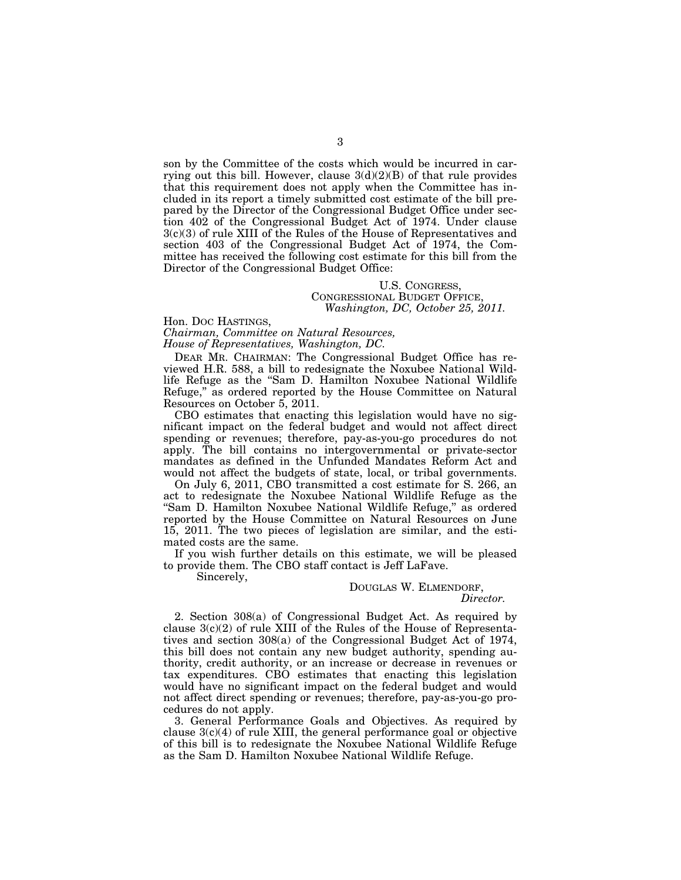son by the Committee of the costs which would be incurred in carrying out this bill. However, clause  $3(d)(2)(B)$  of that rule provides that this requirement does not apply when the Committee has included in its report a timely submitted cost estimate of the bill prepared by the Director of the Congressional Budget Office under section 402 of the Congressional Budget Act of 1974. Under clause 3(c)(3) of rule XIII of the Rules of the House of Representatives and section 403 of the Congressional Budget Act of 1974, the Committee has received the following cost estimate for this bill from the Director of the Congressional Budget Office:

#### U.S. CONGRESS, CONGRESSIONAL BUDGET OFFICE, *Washington, DC, October 25, 2011.*

Hon. DOC HASTINGS, *Chairman, Committee on Natural Resources, House of Representatives, Washington, DC.* 

DEAR MR. CHAIRMAN: The Congressional Budget Office has reviewed H.R. 588, a bill to redesignate the Noxubee National Wildlife Refuge as the ''Sam D. Hamilton Noxubee National Wildlife Refuge," as ordered reported by the House Committee on Natural Resources on October 5, 2011.

CBO estimates that enacting this legislation would have no significant impact on the federal budget and would not affect direct spending or revenues; therefore, pay-as-you-go procedures do not apply. The bill contains no intergovernmental or private-sector mandates as defined in the Unfunded Mandates Reform Act and would not affect the budgets of state, local, or tribal governments.

On July 6, 2011, CBO transmitted a cost estimate for S. 266, an act to redesignate the Noxubee National Wildlife Refuge as the "Sam D. Hamilton Noxubee National Wildlife Refuge," as ordered reported by the House Committee on Natural Resources on June 15, 2011. The two pieces of legislation are similar, and the estimated costs are the same.

If you wish further details on this estimate, we will be pleased to provide them. The CBO staff contact is Jeff LaFave.

Sincerely,

# DOUGLAS W. ELMENDORF, *Director.*

2. Section 308(a) of Congressional Budget Act. As required by clause  $3(c)(2)$  of rule XIII of the Rules of the House of Representatives and section 308(a) of the Congressional Budget Act of 1974, this bill does not contain any new budget authority, spending authority, credit authority, or an increase or decrease in revenues or tax expenditures. CBO estimates that enacting this legislation would have no significant impact on the federal budget and would not affect direct spending or revenues; therefore, pay-as-you-go procedures do not apply.

3. General Performance Goals and Objectives. As required by clause  $3(c)(4)$  of rule XIII, the general performance goal or objective of this bill is to redesignate the Noxubee National Wildlife Refuge as the Sam D. Hamilton Noxubee National Wildlife Refuge.